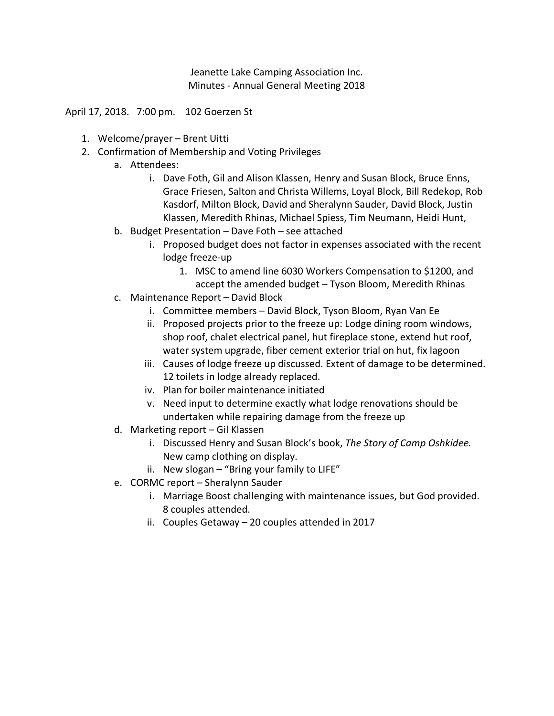Jeanette Lake Camping Association Inc. Minutes - Annual General Meeting 2018

April 17, 2018. 7:00 pm. 102 Goerzen St

- 1. Welcome/prayer Brent Uitti
- 2. Confirmation of Membership and Voting Privileges
	- a. Attendees:
		- i. Dave Foth, Gil and Alison Klassen, Henry and Susan Block, Bruce Enns, Grace Friesen, Salton and Christa Willems, Loyal Block, Bill Redekop, Rob Kasdorf, Milton Block, David and Sheralynn Sauder, David Block, Justin Klassen, Meredith Rhinas, Michael Spiess, Tim Neumann, Heidi Hunt,
	- b. Budget Presentation Dave Foth see attached
		- i. Proposed budget does not factor in expenses associated with the recent lodge freeze-up
			- 1. MSC to amend line 6030 Workers Compensation to \$1200, and accept the amended budget – Tyson Bloom, Meredith Rhinas
	- c. Maintenance Report David Block
		- i. Committee members David Block, Tyson Bloom, Ryan Van Ee
		- ii. Proposed projects prior to the freeze up: Lodge dining room windows, shop roof, chalet electrical panel, hut fireplace stone, extend hut roof, water system upgrade, fiber cement exterior trial on hut, fix lagoon
		- iii. Causes of lodge freeze up discussed. Extent of damage to be determined. 12 toilets in lodge already replaced.
		- iv. Plan for boiler maintenance initiated
		- v. Need input to determine exactly what lodge renovations should be undertaken while repairing damage from the freeze up
	- d. Marketing report Gil Klassen
		- i. Discussed Henry and Susan Block's book, *The Story of Camp Oshkidee.* New camp clothing on display.
		- ii. New slogan "Bring your family to LIFE"
	- e. CORMC report Sheralynn Sauder
		- i. Marriage Boost challenging with maintenance issues, but God provided. 8 couples attended.
		- ii. Couples Getaway 20 couples attended in 2017